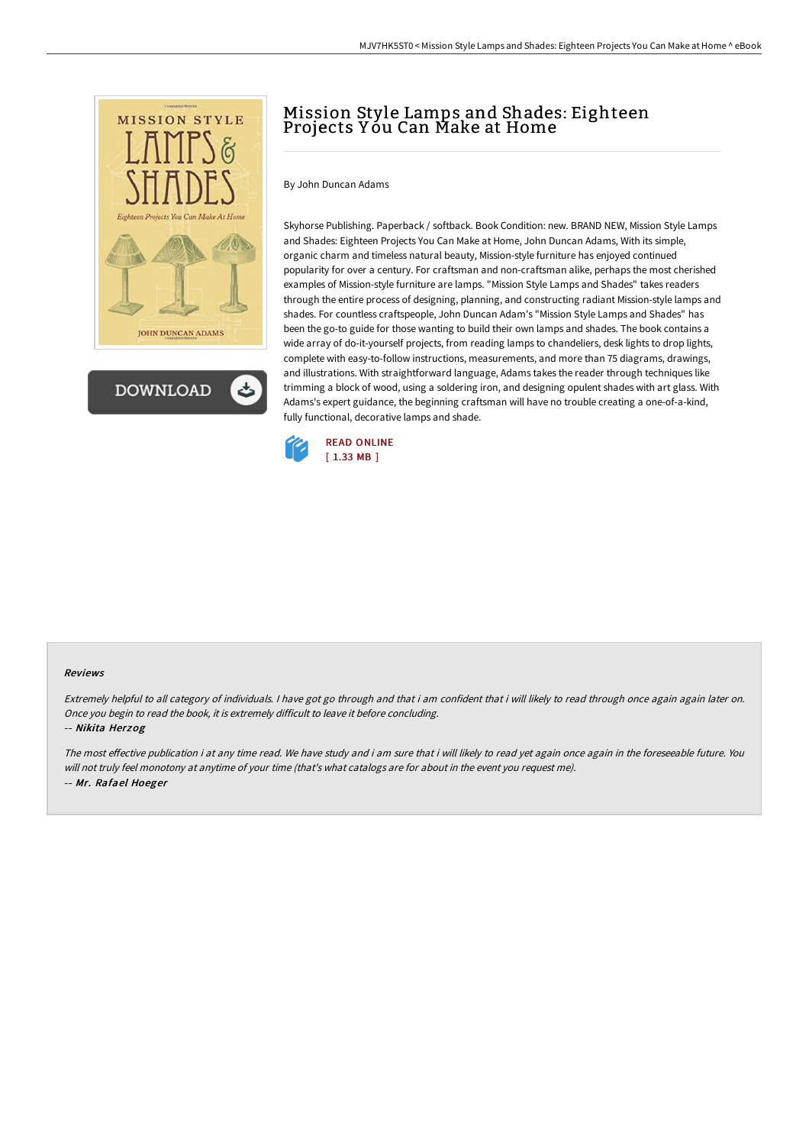



# Mission Style Lamps and Shades: Eighteen Projects Yóu Can Make at Home

By John Duncan Adams

Skyhorse Publishing. Paperback / softback. Book Condition: new. BRAND NEW, Mission Style Lamps and Shades: Eighteen Projects You Can Make at Home, John Duncan Adams, With its simple, organic charm and timeless natural beauty, Mission-style furniture has enjoyed continued popularity for over a century. For craftsman and non-craftsman alike, perhaps the most cherished examples of Mission-style furniture are lamps. "Mission Style Lamps and Shades" takes readers through the entire process of designing, planning, and constructing radiant Mission-style lamps and shades. For countless craftspeople, John Duncan Adam's "Mission Style Lamps and Shades" has been the go-to guide for those wanting to build their own lamps and shades. The book contains a wide array of do-it-yourself projects, from reading lamps to chandeliers, desk lights to drop lights, complete with easy-to-follow instructions, measurements, and more than 75 diagrams, drawings, and illustrations. With straightforward language, Adams takes the reader through techniques like trimming a block of wood, using a soldering iron, and designing opulent shades with art glass. With Adams's expert guidance, the beginning craftsman will have no trouble creating a one-of-a-kind, fully functional, decorative lamps and shade.



#### Reviews

Extremely helpful to all category of individuals. I have got go through and that i am confident that i will likely to read through once again again later on. Once you begin to read the book, it is extremely difficult to leave it before concluding.

-- Nikita Herzog

The most effective publication i at any time read. We have study and i am sure that i will likely to read yet again once again in the foreseeable future. You will not truly feel monotony at anytime of your time (that's what catalogs are for about in the event you request me). -- Mr. Rafael Hoeger